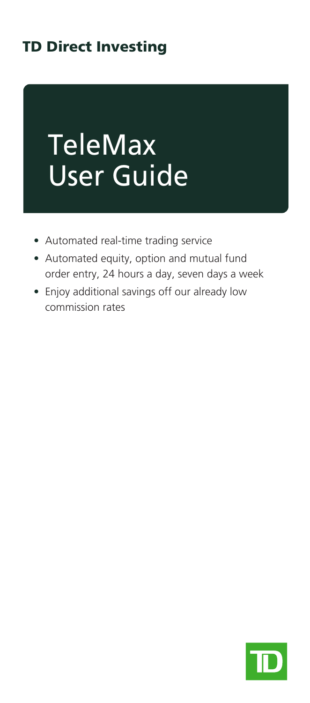# TD Direct Investing

# TeleMax User Guide

- Automated real-time trading service
- Automated equity, option and mutual fund order entry, 24 hours a day, seven days a week
- Enjoy additional savings off our already low commission rates

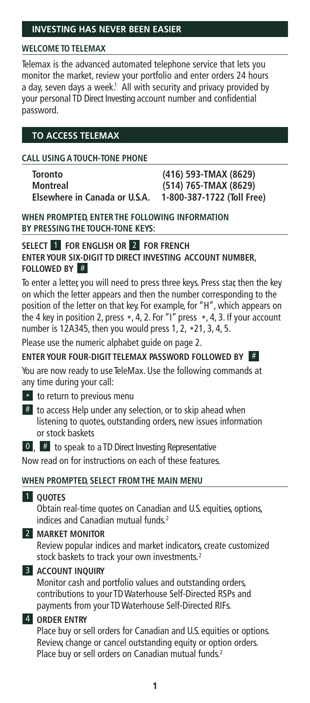# **WELCOME TO TELEMAX**

Telemax is the advanced automated telephone service that lets you monitor the market, review your portfolio and enter orders 24 hours a day, seven days a week.<sup>1</sup> All with security and privacy provided by your personal TD Direct Investing account number and confidential password.

# **TO ACCESS TELEMAX**

### **CALL USINGATOUCH-TONE PHONE**

| <b>Toronto</b>                |
|-------------------------------|
| <b>Montreal</b>               |
| Elsewhere in Canada or U.S.A. |

**Toronto (416) 593-TMAX (8629) Montreal (514) 765-TMAX (8629) Elsewhere in Canada or U.S.A. 1-800-387-1722 (Toll Free)**

**WHEN PROMPTED, ENTER THE FOLLOWING INFORMATION BY PRESSINGTHE TOUCH-TONE KEYS:**

### **SELECT** 1 **FOR ENGLISH OR** 2 **FOR FRENCH ENTER YOUR SIX-DIGIT TD DIRECT INVESTING ACCOUNT NUMBER, FOLLOWED BY**

To enter a letter, you will need to press three keys. Press star, then the key on which the letter appears and then the number corresponding to the position of the letter on that key. For example, for "H", which appears on the 4 key in position 2, press  $\star$ , 4, 2. For "I" press  $\star$ , 4, 3. If your account number is 12A345, then you would press 1, 2, \*21, 3, 4, 5.

Please use the numeric alphabet guide on page 2.

# **ENTER YOUR FOUR-DIGIT TELEMAX PASSWORD FOLLOWED BY** #

You are now ready to use TeleMax. Use the following commands at any time during your call:

- \* to return to previous menu
- $#$  to access Help under any selection, or to skip ahead when listening to quotes, outstanding orders, new issues information or stock baskets

# $\begin{bmatrix} 0 \\ 0 \end{bmatrix}$ ,  $\begin{bmatrix} \# \\ \end{bmatrix}$  to speak to a TD Direct Investing Representative

Now read on for instructions on each of these features.

### **WHEN PROMPTED, SELECT FROM THE MAIN MENU**

### **1** OUOTES

Obtain real-time quotes on Canadian and U.S. equities, options, indices and Canadian mutual funds. 2

# 2 **MARKET MONITOR**

Review popular indices and market indicators, create customized stock baskets to track your own investments. 2

### 3 **ACCOUNT INQUIRY**

Monitor cash and portfolio values and outstanding orders, contributions to your TDWaterhouse Self-Directed RSPs and payments from your TDWaterhouse Self-Directed RIFs.

# 4 **ORDER ENTRY**

Place buy or sell orders for Canadian and U.S. equities or options. Review, change or cancel outstanding equity or option orders. Place buy or sell orders on Canadian mutual funds. 2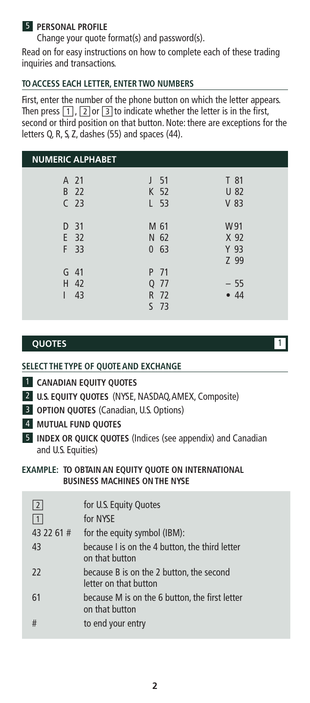# 5 **PERSONAL PROFILE**

Change your quote format(s) and password(s).

Read on for easy instructions on how to complete each of these trading inquiries and transactions.

# **TOACCESS EACH LETTER, ENTER TWO NUMBERS**

First, enter the number of the phone button on which the letter appears. Then press  $\boxed{1}$ ,  $\boxed{2}$  or  $\boxed{3}$  to indicate whether the letter is in the first, second or third position on that button. Note: there are exceptions for the letters Q, R, S, Z, dashes (55) and spaces (44).

| <b>NUMERIC ALPHABET</b>         |                                            |                             |
|---------------------------------|--------------------------------------------|-----------------------------|
| A 21<br>B 22<br>C <sub>23</sub> | J <sub>51</sub><br>K 52<br>L <sub>53</sub> | T 81<br>U 82<br>$V$ 83      |
| D <sub>31</sub><br>E 32<br>F 33 | M 61<br>N 62<br>0, 63                      | W91<br>X 92<br>Y 93<br>Z 99 |
| $G$ 41<br>H 42<br>43            | P 71<br>Q 77<br>R 72<br>$S$ 73             | $-55$<br>•44                |

# **QUOTES** 1

### **SELECT THE TYPE OF QUOTEAND EXCHANGE**

- 1 **CANADIAN EQUITY QUOTES**
- 2 **U.S. EQUITY QUOTES** (NYSE, NASDAQ,AMEX, Composite)
- 3 **OPTION QUOTES** (Canadian, U.S. Options)
- 4 **MUTUAL FUND QUOTES**
- 5 **INDEX OR QUICK QUOTES** (Indices (see appendix) and Canadian and U.S. Equities)

#### **EXAMPLE: TO OBTAINAN EQUITY QUOTE ON INTERNATIONAL BUSINESS MACHINES ONTHE NYSE**

| 2          | for U.S. Equity Quotes                                            |
|------------|-------------------------------------------------------------------|
|            | for NYSE                                                          |
| 43 22 61 # | for the equity symbol (IBM):                                      |
| 43         | because I is on the 4 button, the third letter<br>on that button  |
| 22         | because B is on the 2 button, the second<br>letter on that button |
| 61         | because M is on the 6 button, the first letter<br>on that button  |
| #          | to end your entry                                                 |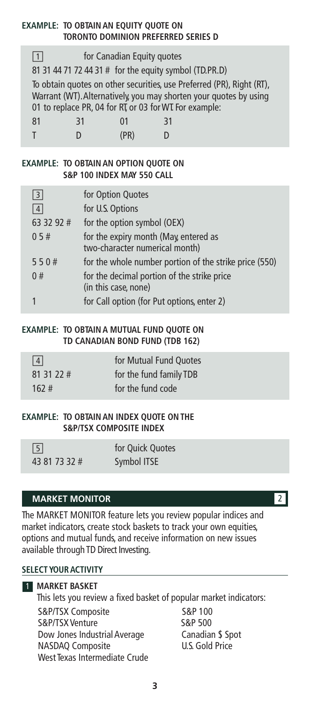# **EXAMPLE: TO OBTAINAN EQUITY QUOTE ON TORONTO DOMINION PREFERRED SERIES D**

| for Canadian Equity quotes<br>$\mathbf{1}$                            |  |      |  |  |
|-----------------------------------------------------------------------|--|------|--|--|
| 81 31 44 71 72 44 31 # for the equity symbol (TD.PR.D)                |  |      |  |  |
| To obtain quotes on other securities, use Preferred (PR), Right (RT), |  |      |  |  |
| Warrant (WT). Alternatively, you may shorten your quotes by using     |  |      |  |  |
| 01 to replace PR, 04 for RT, or 03 for WT For example:                |  |      |  |  |
| 81<br>01<br>31<br>31                                                  |  |      |  |  |
|                                                                       |  | (PR) |  |  |

#### **EXAMPLE: TO OBTAINAN OPTION QUOTE ON S&P 100 INDEX MAY 550 CALL**

| 3               | for Option Quotes                                                       |
|-----------------|-------------------------------------------------------------------------|
| $\vert 4 \vert$ | for U.S. Options                                                        |
| 63 32 92 #      | for the option symbol (OEX)                                             |
| 05#             | for the expiry month (May, entered as<br>two-character numerical month) |
| 550#            | for the whole number portion of the strike price (550)                  |
| 0#              | for the decimal portion of the strike price<br>(in this case, none)     |
|                 | for Call option (for Put options, enter 2)                              |

### **EXAMPLE: TO OBTAINA MUTUAL FUND QUOTE ON TD CANADIAN BOND FUND (TDB 162)**

| 4          | for Mutual Fund Ouotes  |
|------------|-------------------------|
| 81 31 22 # | for the fund family TDB |
| 162#       | for the fund code       |

#### **EXAMPLE: TO OBTAINAN INDEX QUOTE ONTHE S&P/TSX COMPOSITE INDEX**

| $\sqrt{5}$    | for Ouick Ouotes |
|---------------|------------------|
| 43 81 73 32 # | Symbol ITSE      |

# **MARKET MONITOR** 2

The MARKET MONITOR feature lets you review popular indices and market indicators, create stock baskets to track your own equities, options and mutual funds, and receive information on new issues available through TD Direct Investing.

#### **SELECT YOURACTIVITY**

# 1 **MARKET BASKET**

This lets you review a fixed basket of popular market indicators: S&P/TSX Composite 5&P 100<br>S&P/TSX Venture 5&P 500 S&P/TSX Venture Dow Jones Industrial Average Canadian \$ Spot NASDAQ Composite U.S. Gold Price West Texas Intermediate Crude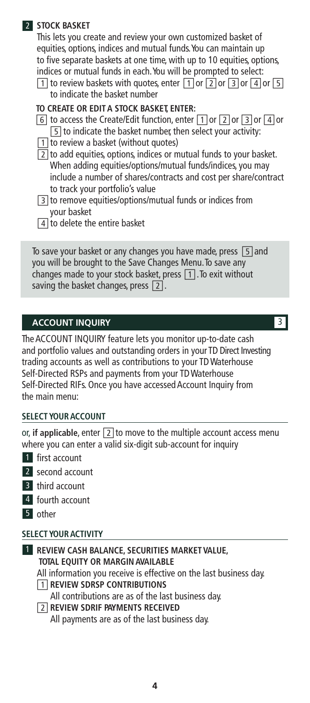# 2 **STOCK BASKET**

This lets you create and review your own customized basket of equities, options, indices and mutual funds.You can maintain up to five separate baskets at one time, with up to 10 equities, options, indices or mutual funds in each.You will be prompted to select:

 $\boxed{1}$  to review baskets with quotes, enter  $\boxed{1}$  or  $\boxed{2}$  or  $\boxed{3}$  or  $\boxed{4}$  or  $\boxed{5}$ to indicate the basket number

# **TO CREATE OR EDITA STOCK BASKET, ENTER:**

- $\boxed{6}$  to access the Create/Edit function, enter  $\boxed{1}$  or  $\boxed{2}$  or  $\boxed{3}$  or  $\boxed{4}$  or  $\overline{5}$  to indicate the basket number, then select your activity:
- $\boxed{1}$  to review a basket (without quotes)
- $\sqrt{2}$  to add equities, options, indices or mutual funds to your basket. When adding equities/options/mutual funds/indices, you may include a number of shares/contracts and cost per share/contract to track your portfolio's value
- □3 to remove equities/options/mutual funds or indices from your basket
- $\boxed{4}$  to delete the entire basket

To save your basket or any changes you have made, press  $\boxed{5}$  and you will be brought to the Save Changes Menu.To save any changes made to your stock basket, press  $\boxed{1}$ . To exit without saving the basket changes, press  $\boxed{2}$ .

# **ACCOUNT INQUIRY 3**

TheACCOUNT INQUIRY feature lets you monitor up-to-date cash and portfolio values and outstanding orders in your TD Direct Investing trading accounts as well as contributions to your TDWaterhouse Self-Directed RSPs and payments from your TDWaterhouse Self-Directed RIFs. Once you have accessed Account Inquiry from the main menu:

# **SELECT YOURACCOUNT**

or, **if applicable**, enter  $\boxed{2}$  to move to the multiple account access menu where you can enter a valid six-digit sub-account for inquiry

- 1 first account
- 2 second account
- 3 third account
- 4 fourth account
- 5 other

# **SELECT YOURACTIVITY**

1 **REVIEW CASH BALANCE, SECURITIES MARKET VALUE, TOTAL EQUITY OR MARGINAVAILABLE** All information you receive is effective on the last business day. □1 **REVIEW SDRSP CONTRIBUTIONS** All contributions are as of the last business day. □2 **REVIEW SDRIF PAYMENTS RECEIVED** All payments are as of the last business day.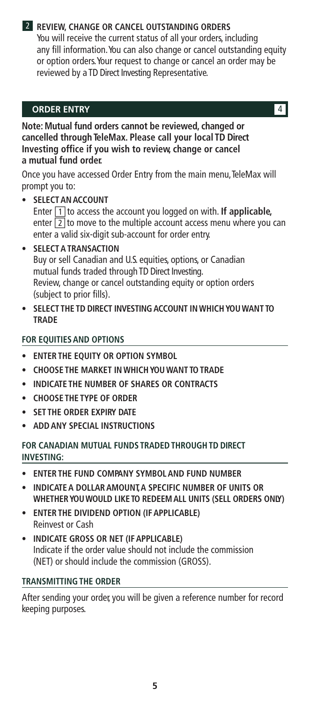# 2 **REVIEW, CHANGE OR CANCEL OUTSTANDING ORDERS**

You will receive the current status of all your orders, including any fill information.You can also change or cancel outstanding equity or option orders.Your request to change or cancel an order may be reviewed by a TD Direct Investing Representative.

# **ORDER ENTRY** 4

**Note: Mutual fund orders cannot be reviewed, changed or cancelled through TeleMax. Please call your local TD Direct Investing office if you wish to review, change or cancel a mutual fund order.**

Once you have accessed Order Entry from the main menu, TeleMax will prompt you to:

- **• SELECTANACCOUNT** Enter  $\boxed{1}$  to access the account you logged on with. If applicable, enter  $\boxed{2}$  to move to the multiple account access menu where you can enter a valid six-digit sub-account for order entry.
- **• SELECTATRANSACTION** Buy or sell Canadian and U.S. equities, options, or Canadian mutual funds traded through TD Direct Investing. Review, change or cancel outstanding equity or option orders (subject to prior fills).
- **• SELECT THE TD DIRECT INVESTING ACCOUNT IN WHICHYOU WANT TO TRADE**

# **FOR EQUITIESAND OPTIONS**

- **• ENTER THE EQUITY OR OPTION SYMBOL**
- **• CHOOSE THE MARKET IN WHICHYOU WANT TOTRADE**
- **• INDICATE THE NUMBER OF SHARES OR CONTRACTS**
- **• CHOOSE THE TYPE OF ORDER**
- **• SET THE ORDER EXPIRY DATE**
- **• ADDANY SPECIAL INSTRUCTIONS**

# **FOR CANADIAN MUTUAL FUNDS TRADEDTHROUGHTD DIRECT INVESTING:**

- **• ENTER THE FUND COMPANY SYMBOLAND FUND NUMBER**
- **• INDICATEA DOLLARAMOUNT,A SPECIFIC NUMBER OF UNITS OR WHETHERYOUWOULD LIKE TO REDEEMALL UNITS (SELL ORDERS ONLY)**
- **• ENTER THE DIVIDEND OPTION (IFAPPLICABLE)** Reinvest or Cash
- **• INDICATE GROSS OR NET (IFAPPLICABLE)** Indicate if the order value should not include the commission (NET) or should include the commission (GROSS).

# **TRANSMITTINGTHE ORDER**

After sending your order, you will be given a reference number for record keeping purposes.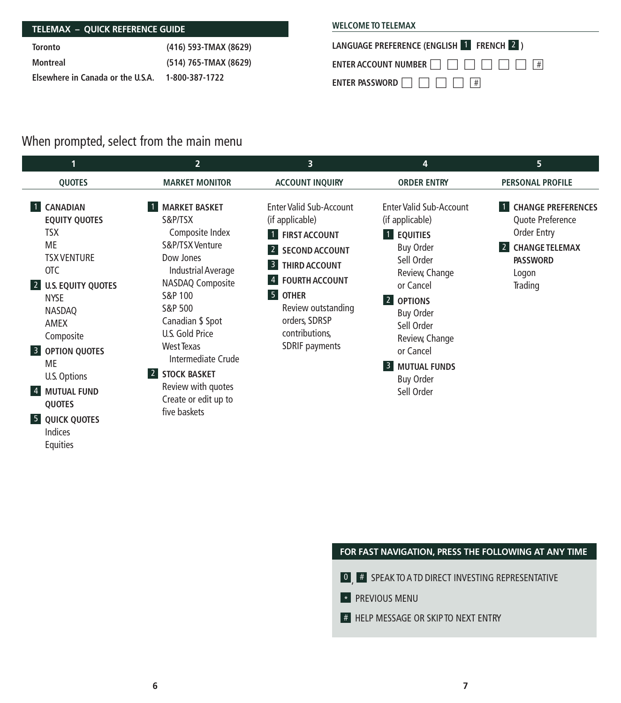# **TELEMAX – QUICK REFERENCE GUIDE**

| Toronto                           | (416) 593-TMAX (8629) |
|-----------------------------------|-----------------------|
| Montreal                          | (514) 765-TMAX (8629) |
| Elsewhere in Canada or the U.S.A. | 1-800-387-1722        |

# **WELCOME TOTELEMAX**



# When prompted, select from the main menu

| 11                                                                                                                                                                                                                                                                                                                                                 | $\overline{2}$                                                                                                                                                                                                                                                                                                | 3                                                                                                                                                                                                                                                                                                              | 4                                                                                                                                                                                                                                                                                              | 5                                                                                                                            |
|----------------------------------------------------------------------------------------------------------------------------------------------------------------------------------------------------------------------------------------------------------------------------------------------------------------------------------------------------|---------------------------------------------------------------------------------------------------------------------------------------------------------------------------------------------------------------------------------------------------------------------------------------------------------------|----------------------------------------------------------------------------------------------------------------------------------------------------------------------------------------------------------------------------------------------------------------------------------------------------------------|------------------------------------------------------------------------------------------------------------------------------------------------------------------------------------------------------------------------------------------------------------------------------------------------|------------------------------------------------------------------------------------------------------------------------------|
| <b>QUOTES</b>                                                                                                                                                                                                                                                                                                                                      | <b>MARKET MONITOR</b>                                                                                                                                                                                                                                                                                         | <b>ACCOUNT INQUIRY</b>                                                                                                                                                                                                                                                                                         | <b>ORDER ENTRY</b>                                                                                                                                                                                                                                                                             | <b>PERSONAL PROFILE</b>                                                                                                      |
| <b>CANADIAN</b><br><b>EQUITY QUOTES</b><br><b>TSX</b><br><b>ME</b><br><b>TSX VENTURE</b><br><b>OTC</b><br><b>U.S. EQUITY QUOTES</b><br>$\vert 2 \vert$<br><b>NYSE</b><br>NASDAQ<br>AMEX<br>Composite<br><b>B</b> OPTION QUOTES<br><b>ME</b><br>U.S. Options<br><b>MUTUAL FUND</b><br> 4 <br>QUOTES<br><b>5</b> QUICK QUOTES<br>Indices<br>Equities | <b>MARKET BASKET</b><br>S&P/TSX<br>Composite Index<br>S&P/TSX Venture<br>Dow Jones<br>Industrial Average<br>NASDAQ Composite<br>S&P 100<br>S&P 500<br>Canadian \$ Spot<br>U.S. Gold Price<br>West Texas<br>Intermediate Crude<br>2 STOCK BASKET<br>Review with quotes<br>Create or edit up to<br>five baskets | <b>Enter Valid Sub-Account</b><br>(if applicable)<br>1 FIRST ACCOUNT<br>$\vert$ 2<br><b>SECOND ACCOUNT</b><br>THIRD ACCOUNT<br>$\vert 3 \vert$<br><b>FOURTH ACCOUNT</b><br>$\vert 4 \vert$<br>$\overline{5}$<br><b>OTHER</b><br>Review outstanding<br>orders, SDRSP<br>contributions,<br><b>SDRIF payments</b> | Enter Valid Sub-Account<br>(if applicable)<br>1 EQUITIES<br><b>Buy Order</b><br>Sell Order<br>Review, Change<br>or Cancel<br> 2 <br><b>OPTIONS</b><br><b>Buy Order</b><br>Sell Order<br>Review, Change<br>or Cancel<br>3 <sup>1</sup><br><b>MUTUAL FUNDS</b><br><b>Buy Order</b><br>Sell Order | <b>CHANGE PREFERENCES</b><br>Quote Preference<br>Order Entry<br><b>CHANGE TELEMAX</b><br><b>PASSWORD</b><br>Logon<br>Trading |

# **FOR FAST NAVIGATION, PRESS THE FOLLOWING AT ANY TIME**

- 0 # SPEAK TO A TD DIRECT INVESTING REPRESENTATIVE
- **\*** PREVIOUS MENU
- **# HELP MESSAGE OR SKIP TO NEXT ENTRY**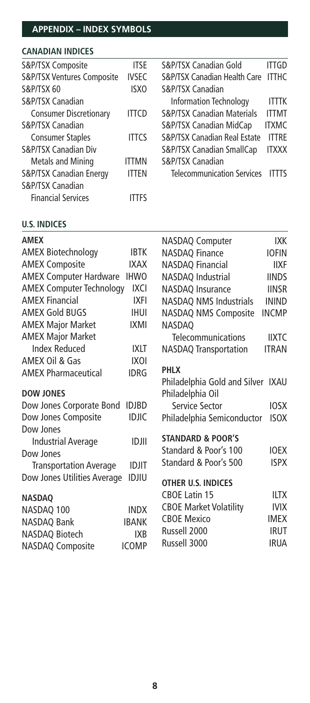# **APPENDIX – INDEX SYMBOLS**

# **CANADIAN INDICES**

| S&P/TSX Composite                     | <b>ITSE</b>  | S&P/TSX Canadian Gold                 | ITTGD        |
|---------------------------------------|--------------|---------------------------------------|--------------|
| <b>S&amp;P/TSX Ventures Composite</b> | <b>IVSEC</b> | S&P/TSX Canadian Health Care ITTHC    |              |
| S&P/TSX 60                            | <b>ISXO</b>  | S&P/TSX Canadian                      |              |
| S&P/TSX Canadian                      |              | <b>Information Technology</b>         | <b>ITTTK</b> |
| <b>Consumer Discretionary</b>         | <b>ITTCD</b> | <b>S&amp;P/TSX Canadian Materials</b> | <b>ITTMT</b> |
| <b>S&amp;P/TSX Canadian</b>           |              | S&P/TSX Canadian MidCap               | <b>ITXMC</b> |
| <b>Consumer Staples</b>               | <b>ITTCS</b> | S&P/TSX Canadian Real Estate          | <b>ITTRE</b> |
| <b>S&amp;P/TSX Canadian Div</b>       |              | S&P/TSX Canadian SmallCap             | <b>ITXXX</b> |
| <b>Metals and Mining</b>              | <b>ITTMN</b> | S&P/TSX Canadian                      |              |
| S&P/TSX Canadian Energy               | <b>ITTEN</b> | <b>Telecommunication Services</b>     | <b>ITTTS</b> |
| <b>S&amp;P/TSX Canadian</b>           |              |                                       |              |
| <b>Financial Services</b>             | ITTFS        |                                       |              |

### **U.S. INDICES**

| <b>AMEX</b>                     |              | <b>NASDAQ Computer</b>            | IXK          |
|---------------------------------|--------------|-----------------------------------|--------------|
| <b>AMEX Biotechnology</b>       | <b>IBTK</b>  | <b>NASDAQ Finance</b>             | <b>IOFIN</b> |
| <b>AMEX Composite</b>           | <b>IXAX</b>  | <b>NASDAQ Financial</b>           | <b>IIXF</b>  |
| <b>AMEX Computer Hardware</b>   | <b>IHWO</b>  | NASDAQ Industrial                 | <b>IINDS</b> |
| <b>AMEX Computer Technology</b> | <b>IXCI</b>  | NASDAQ Insurance                  | <b>IINSR</b> |
| <b>AMFX Financial</b>           | <b>IXFI</b>  | <b>NASDAQ NMS Industrials</b>     | <b>ININD</b> |
| <b>AMEX Gold BUGS</b>           | <b>IHUI</b>  | NASDAQ NMS Composite              | <b>INCMP</b> |
| <b>AMEX Major Market</b>        | <b>IXMI</b>  | <b>NASDAO</b>                     |              |
| <b>AMEX Major Market</b>        |              | Telecommunications                | <b>IIXTC</b> |
| <b>Index Reduced</b>            | <b>IXLT</b>  | <b>NASDAQ Transportation</b>      | <b>ITRAN</b> |
| AMEX Oil & Gas                  | IXOI         |                                   |              |
| <b>AMEX Pharmaceutical</b>      | <b>IDRG</b>  | <b>PHLX</b>                       |              |
|                                 |              | Philadelphia Gold and Silver IXAU |              |
| <b>DOW JONES</b>                |              | Philadelphia Oil                  |              |
| Dow Jones Corporate Bond        | <b>IDJBD</b> | Service Sector                    | <b>IOSX</b>  |
| Dow Jones Composite             | <b>IDJIC</b> | Philadelphia Semiconductor        | <b>ISOX</b>  |
| Dow Jones                       |              | <b>STANDARD &amp; POOR'S</b>      |              |
| <b>Industrial Average</b>       | <b>IDJII</b> | Standard & Poor's 100             | <b>IOFX</b>  |
| Dow Jones                       |              | Standard & Poor's 500             | <b>ISPX</b>  |
| <b>Transportation Average</b>   | <b>IDJIT</b> |                                   |              |
| Dow Jones Utilities Average     | <b>IDJIU</b> | OTHER U.S. INDICES                |              |
| <b>NASDAO</b>                   |              | <b>CBOE Latin 15</b>              | <b>IITX</b>  |
| NASDAQ 100                      | <b>INDX</b>  | <b>CBOE Market Volatility</b>     | <b>IVIX</b>  |
| NASDAQ Bank                     | <b>IBANK</b> | <b>CBOE Mexico</b>                | <b>IMEX</b>  |
| NASDAQ Biotech                  | <b>IXB</b>   | Russell 2000                      | <b>IRUT</b>  |
| <b>NASDAQ Composite</b>         | <b>ICOMP</b> | Russell 3000                      | <b>IRUA</b>  |
|                                 |              |                                   |              |
|                                 |              |                                   |              |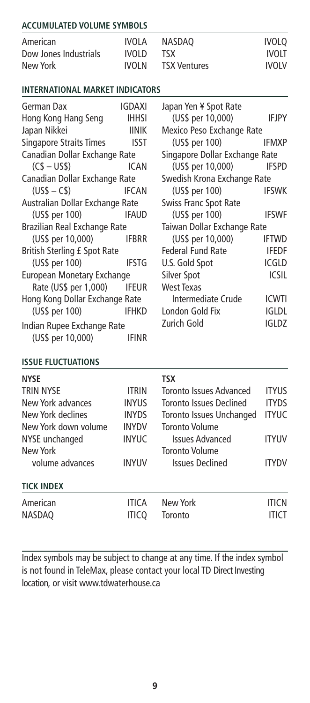# **ACCUMULATED VOLUME SYMBOLS**

| American              | IVOLA  | NASDAO              | <b>IVOLO</b> |
|-----------------------|--------|---------------------|--------------|
| Dow Jones Industrials | IVOLD. | TSX.                | <b>IVOLT</b> |
| New York              | IVOI N | <b>TSX Ventures</b> | <b>IVOLV</b> |

#### **INTERNATIONAL MARKET INDICATORS**

| German Dax                      | <b>IGDAXI</b> | Japan Yen ¥ Spot Rate          |              |
|---------------------------------|---------------|--------------------------------|--------------|
| Hong Kong Hang Seng             | <b>IHHSI</b>  | $(US\$ per 10,000) IFJPY       |              |
| Japan Nikkei                    | <b>IINIK</b>  | Mexico Peso Exchange Rate      |              |
| <b>Singapore Straits Times</b>  | <b>ISST</b>   | $(US\$ per 100)                | <b>IFMXP</b> |
| Canadian Dollar Exchange Rate   |               | Singapore Dollar Exchange Rate |              |
| $(C$ - USS)$                    | <b>ICAN</b>   | (US\$ per 10,000)              | <b>IFSPD</b> |
| Canadian Dollar Exchange Rate   |               | Swedish Krona Exchange Rate    |              |
| $(USS - CS)$                    | <b>IFCAN</b>  | (US\$ per 100)                 | <b>IFSWK</b> |
| Australian Dollar Exchange Rate |               | Swiss Franc Spot Rate          |              |
| (US\$ per 100) IFAUD            |               | (US\$ per 100)                 | <b>IFSWF</b> |
| Brazilian Real Exchange Rate    |               | Taiwan Dollar Exchange Rate    |              |
| (US\$ per 10,000) IFBRR         |               | (US\$ per 10,000)              | <b>IFTWD</b> |
| British Sterling £ Spot Rate    |               | Federal Fund Rate              | <b>IFEDF</b> |
| (US\$ per 100) IFSTG            |               | U.S. Gold Spot                 | <b>ICGLD</b> |
| European Monetary Exchange      |               | Silver Spot                    | <b>ICSIL</b> |
| Rate (US\$ per 1,000)           | <b>IFEUR</b>  | <b>West Texas</b>              |              |
| Hong Kong Dollar Exchange Rate  |               | Intermediate Crude             | <b>ICWTI</b> |
| (US\$ per 100) IFHKD            |               | London Gold Fix                | <b>IGLDL</b> |
| Indian Rupee Exchange Rate      |               | Zurich Gold                    | <b>IGLDZ</b> |
| (US\$ per 10,000)               | <b>IFINR</b>  |                                |              |

# **ISSUE FLUCTUATIONS**

| <b>NYSE</b><br><b>TRIN NYSE</b><br>New York advances<br>New York declines<br>New York down volume<br>NYSE unchanged | <b>ITRIN</b><br><b>INYUS</b><br><b>INYDS</b><br><b>INYDV</b><br><b>INYUC</b> | TSX<br>Toronto Issues Advanced<br>Toronto Issues Declined<br>Toronto Issues Unchanged<br><b>Toronto Volume</b><br><b>Issues Advanced</b> | <b>ITYUS</b><br><b>ITYDS</b><br><b>ITYUC</b><br><b>ITYUV</b> |
|---------------------------------------------------------------------------------------------------------------------|------------------------------------------------------------------------------|------------------------------------------------------------------------------------------------------------------------------------------|--------------------------------------------------------------|
| New York<br>volume advances<br><b>TICK INDEX</b>                                                                    | <b>INYUV</b>                                                                 | <b>Toronto Volume</b><br><b>Issues Declined</b>                                                                                          | <b>ITYDV</b>                                                 |
| American<br><b>NASDAQ</b>                                                                                           | <b>ITICA</b><br>itico                                                        | New York<br>Toronto                                                                                                                      | <b>ITICN</b><br><b>ITICT</b>                                 |

Index symbols may be subject to change at any time. If the index symbol is not found in TeleMax, please contact your local TD Direct Investing location, or visit www.tdwaterhouse.ca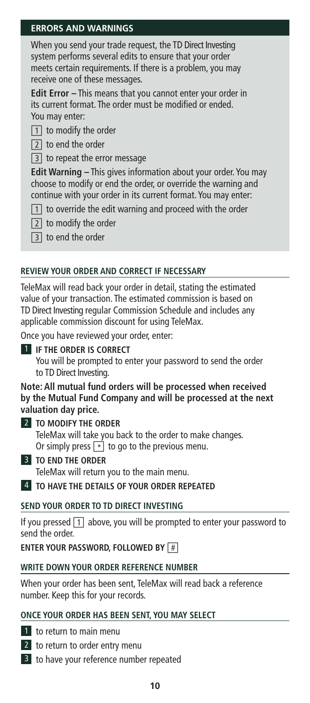# **ERRORS AND WARNINGS**

When you send your trade request, the TD Direct Investing system performs several edits to ensure that your order meets certain requirements. If there is a problem, you may receive one of these messages.

**Edit Error –** This means that you cannot enter your order in its current format. The order must be modified or ended. You may enter:

- $\boxed{1}$  to modify the order
- $\boxed{2}$  to end the order

### $|3|$  to repeat the error message

**Edit Warning –** This gives information about your order. You may choose to modify or end the order, or override the warning and continue with your order in its current format. You may enter:

- $\boxed{1}$  to override the edit warning and proceed with the order
- $\boxed{2}$  to modify the order
- **[3]** to end the order

# **REVIEW YOUR ORDER AND CORRECT IF NECESSARY**

TeleMax will read back your order in detail, stating the estimated value of your transaction. The estimated commission is based on TD Direct Investing regular Commission Schedule and includes any applicable commission discount for using TeleMax.

Once you have reviewed your order, enter:

#### 1 **IF THE ORDER IS CORRECT**

You will be prompted to enter your password to send the order to TD Direct Investing.

#### **Note: All mutual fund orders will be processed when received by the Mutual Fund Company and will be processed at the next valuation day price.**

- 2 **TO MODIFY THE ORDER** TeleMax will take you back to the order to make changes. Or simply press  $\boxed{\cdot}$  to go to the previous menu.
- 3 **TO END THE ORDER** TeleMax will return you to the main menu.

# 4 **TO HAVE THE DETAILS OF YOUR ORDER REPEATED**

### **SEND YOUR ORDER TO TD DIRECT INVESTING**

If you pressed  $\boxed{1}$  above, you will be prompted to enter your password to send the order.

### **ENTER YOUR PASSWORD, FOLLOWED BY**  $\vert \# \vert$

### **WRITE DOWN YOUR ORDER REFERENCE NUMBER**

When your order has been sent, TeleMax will read back a reference number. Keep this for your records.

### **ONCE YOUR ORDER HAS BEEN SENT, YOU MAY SELECT**

- 1 to return to main menu
- 2 to return to order entry menu
- 3 to have your reference number repeated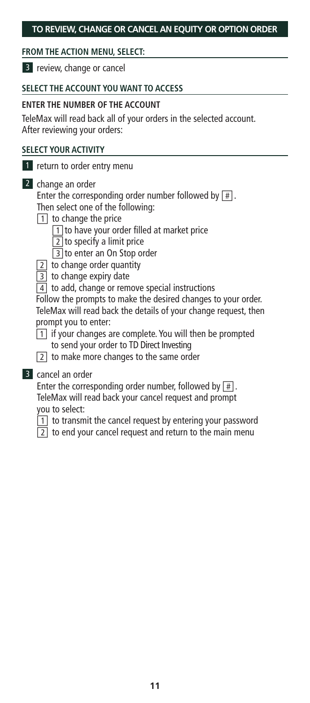# **TO REVIEW, CHANGE OR CANCEL AN EQUITY OR OPTION ORDER**

# **FROM THE ACTION MENU, SELECT:**

3 review, change or cancel

# **SELECT THE ACCOUNT YOU WANT TO ACCESS**

### **ENTER THE NUMBER OF THE ACCOUNT**

TeleMax will read back all of your orders in the selected account. After reviewing your orders:

# **SELECT YOUR ACTIVITY**

- 1 return to order entry menu
- 2 change an order Enter the corresponding order number followed by  $\boxed{\#}$ . Then select one of the following:
	- $\boxed{1}$  to change the price
		- $\boxed{1}$  to have your order filled at market price
		- $\boxed{2}$  to specify a limit price
		- □3 to enter an On Stop order
	- $\boxed{2}$  to change order quantity
	- **3** to change expiry date
	- $\boxed{4}$  to add, change or remove special instructions

Follow the prompts to make the desired changes to your order. TeleMax will read back the details of your change request, then prompt you to enter:

- $\boxed{1}$  if your changes are complete. You will then be prompted
	- to send your order to TD Direct Investing
- $\sqrt{2}$  to make more changes to the same order
- 3 cancel an order

Enter the corresponding order number, followed by  $\boxed{\#}$ .

- TeleMax will read back your cancel request and prompt you to select:
- $\boxed{1}$  to transmit the cancel request by entering your password
- $\boxed{2}$  to end your cancel request and return to the main menu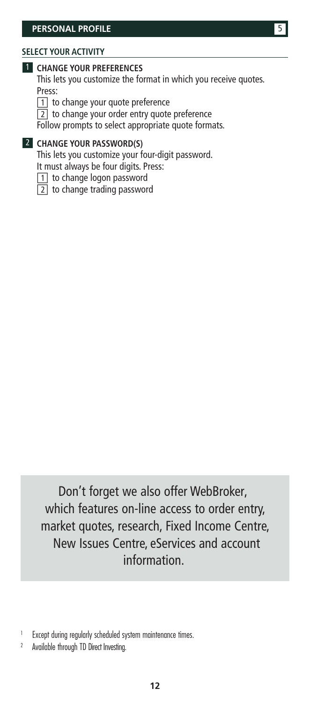#### **SELECT YOUR ACTIVITY**

#### 1 **CHANGE YOUR PREFERENCES**

This lets you customize the format in which you receive quotes. Press:

- □1 to change your quote preference
- [2] to change your order entry quote preference

Follow prompts to select appropriate quote formats.

2 **CHANGE YOUR PASSWORD(S)**

This lets you customize your four-digit password. It must always be four digits. Press:

- □1 to change logon password
- $\boxed{2}$  to change trading password

Don't forget we also offer WebBroker, which features on-line access to order entry, market quotes, research, Fixed Income Centre, New Issues Centre, eServices and account information.

<sup>2</sup> Available through TD Direct Investing.

<sup>&</sup>lt;sup>1</sup> Except during regularly scheduled system maintenance times.